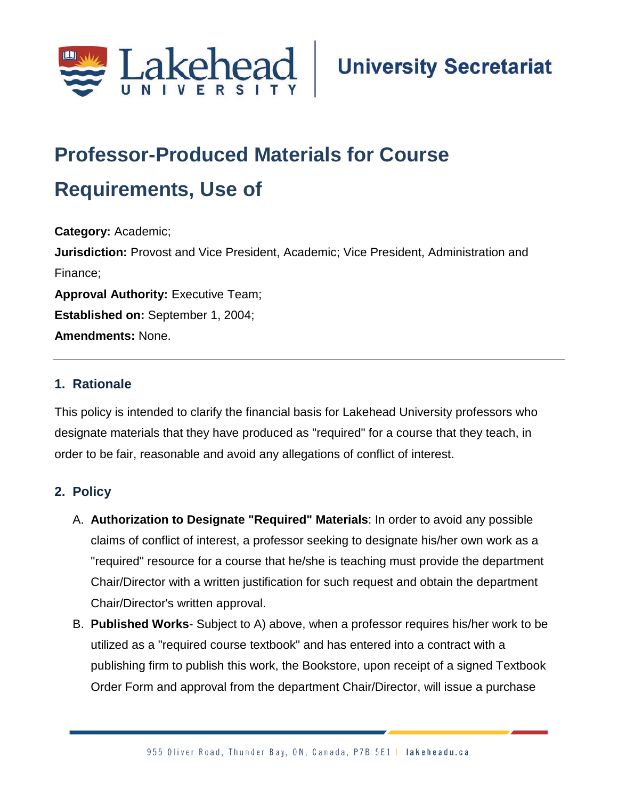

# **Professor-Produced Materials for Course**

## **Requirements, Use of**

**Category:** Academic; **Jurisdiction:** Provost and Vice President, Academic; Vice President, Administration and Finance; **Approval Authority: Executive Team; Established on:** September 1, 2004; **Amendments:** None.

### **1. Rationale**

This policy is intended to clarify the financial basis for Lakehead University professors who designate materials that they have produced as "required" for a course that they teach, in order to be fair, reasonable and avoid any allegations of conflict of interest.

#### **2. Policy**

- A. **Authorization to Designate "Required" Materials**: In order to avoid any possible claims of conflict of interest, a professor seeking to designate his/her own work as a "required" resource for a course that he/she is teaching must provide the department Chair/Director with a written justification for such request and obtain the department Chair/Director's written approval.
- B. **Published Works** Subject to A) above, when a professor requires his/her work to be utilized as a "required course textbook" and has entered into a contract with a publishing firm to publish this work, the Bookstore, upon receipt of a signed Textbook Order Form and approval from the department Chair/Director, will issue a purchase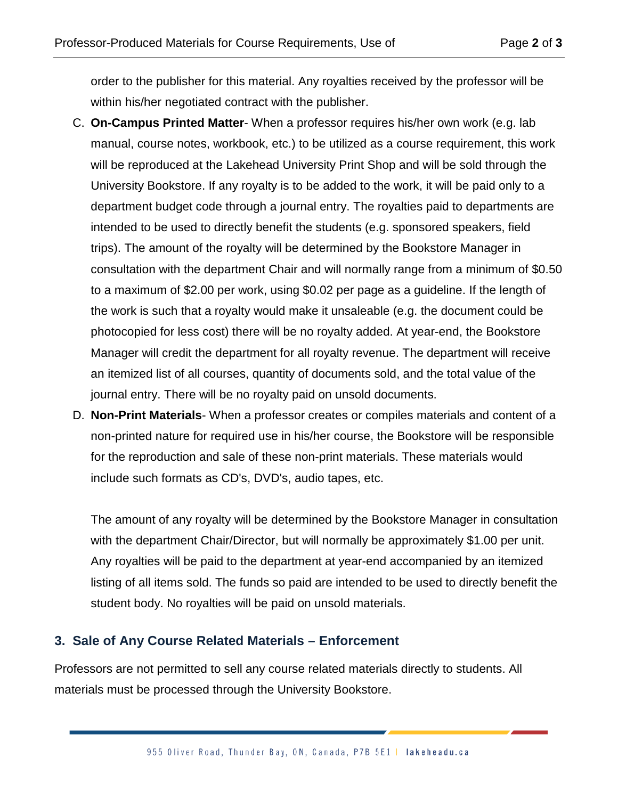order to the publisher for this material. Any royalties received by the professor will be within his/her negotiated contract with the publisher.

- C. **On-Campus Printed Matter** When a professor requires his/her own work (e.g. lab manual, course notes, workbook, etc.) to be utilized as a course requirement, this work will be reproduced at the Lakehead University Print Shop and will be sold through the University Bookstore. If any royalty is to be added to the work, it will be paid only to a department budget code through a journal entry. The royalties paid to departments are intended to be used to directly benefit the students (e.g. sponsored speakers, field trips). The amount of the royalty will be determined by the Bookstore Manager in consultation with the department Chair and will normally range from a minimum of \$0.50 to a maximum of \$2.00 per work, using \$0.02 per page as a guideline. If the length of the work is such that a royalty would make it unsaleable (e.g. the document could be photocopied for less cost) there will be no royalty added. At year-end, the Bookstore Manager will credit the department for all royalty revenue. The department will receive an itemized list of all courses, quantity of documents sold, and the total value of the journal entry. There will be no royalty paid on unsold documents.
- D. **Non-Print Materials** When a professor creates or compiles materials and content of a non-printed nature for required use in his/her course, the Bookstore will be responsible for the reproduction and sale of these non-print materials. These materials would include such formats as CD's, DVD's, audio tapes, etc.

The amount of any royalty will be determined by the Bookstore Manager in consultation with the department Chair/Director, but will normally be approximately \$1.00 per unit. Any royalties will be paid to the department at year-end accompanied by an itemized listing of all items sold. The funds so paid are intended to be used to directly benefit the student body. No royalties will be paid on unsold materials.

#### **3. Sale of Any Course Related Materials – Enforcement**

Professors are not permitted to sell any course related materials directly to students. All materials must be processed through the University Bookstore.